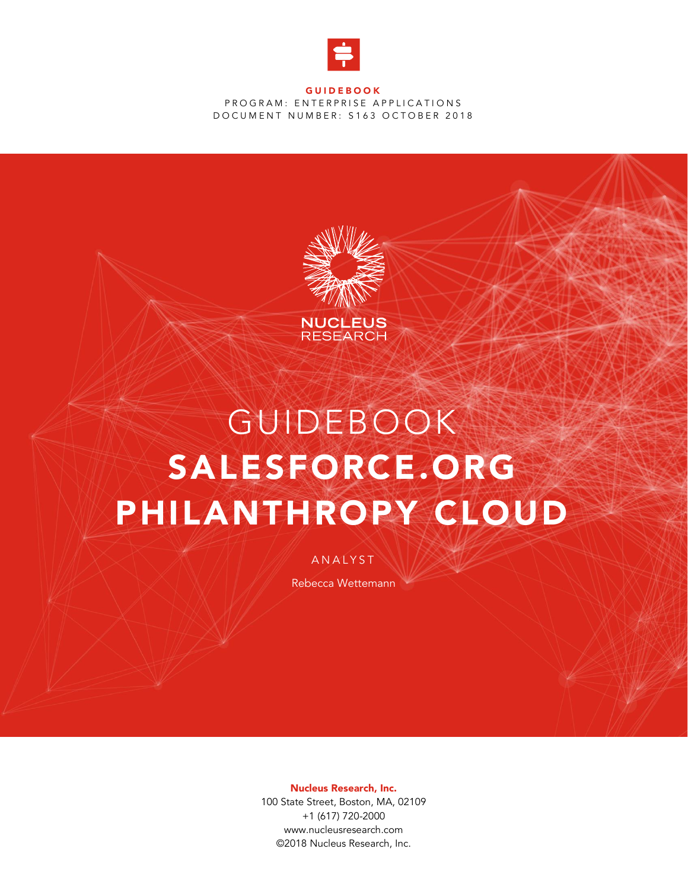

#### **GUIDEBOOK** PROGRAM: ENTERPRISE APPLICATIONS DOCUMENT NUMBER: S163 OCTOBER 2018



# GUIDEBOOK SALESFORCE.ORG PHILANTHROPY CLOUD

**ANALYST** 

Rebecca Wettemann

Nucleus Research, Inc.

100 State Street, Boston, MA, 02109 +1 (617) 720-2000 www.nucleusresearch.com ©2018 Nucleus Research, Inc.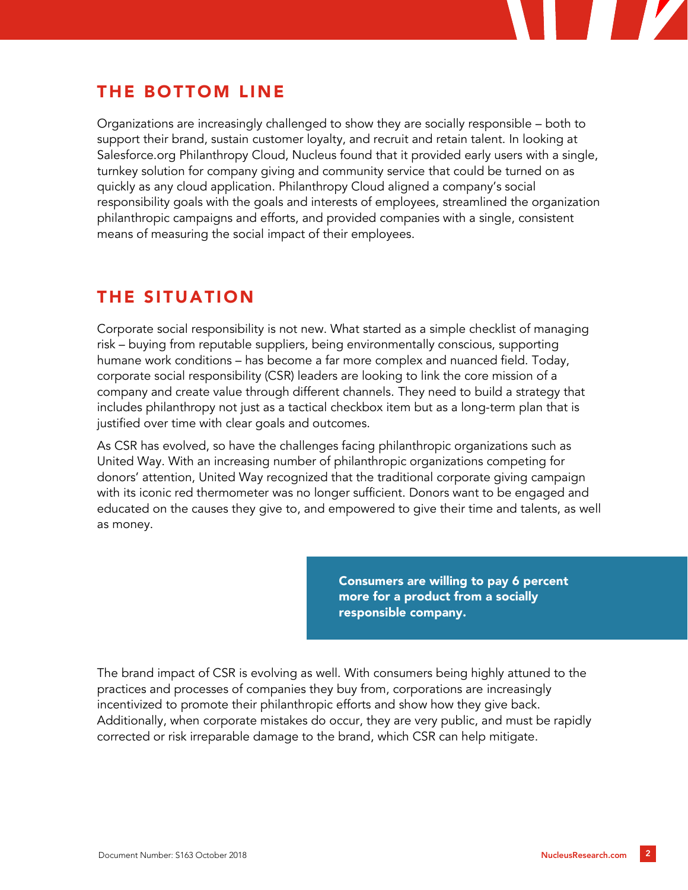

# THE BOTTOM LINE

Organizations are increasingly challenged to show they are socially responsible – both to support their brand, sustain customer loyalty, and recruit and retain talent. In looking at Salesforce.org Philanthropy Cloud, Nucleus found that it provided early users with a single, turnkey solution for company giving and community service that could be turned on as quickly as any cloud application. Philanthropy Cloud aligned a company's social responsibility goals with the goals and interests of employees, streamlined the organization philanthropic campaigns and efforts, and provided companies with a single, consistent means of measuring the social impact of their employees.

# THE SITUATION

Corporate social responsibility is not new. What started as a simple checklist of managing risk – buying from reputable suppliers, being environmentally conscious, supporting humane work conditions – has become a far more complex and nuanced field. Today, corporate social responsibility (CSR) leaders are looking to link the core mission of a company and create value through different channels. They need to build a strategy that includes philanthropy not just as a tactical checkbox item but as a long-term plan that is justified over time with clear goals and outcomes.

As CSR has evolved, so have the challenges facing philanthropic organizations such as United Way. With an increasing number of philanthropic organizations competing for donors' attention, United Way recognized that the traditional corporate giving campaign with its iconic red thermometer was no longer sufficient. Donors want to be engaged and educated on the causes they give to, and empowered to give their time and talents, as well as money.

> Consumers are willing to pay 6 percent more for a product from a socially responsible company.

The brand impact of CSR is evolving as well. With consumers being highly attuned to the practices and processes of companies they buy from, corporations are increasingly incentivized to promote their philanthropic efforts and show how they give back. Additionally, when corporate mistakes do occur, they are very public, and must be rapidly corrected or risk irreparable damage to the brand, which CSR can help mitigate.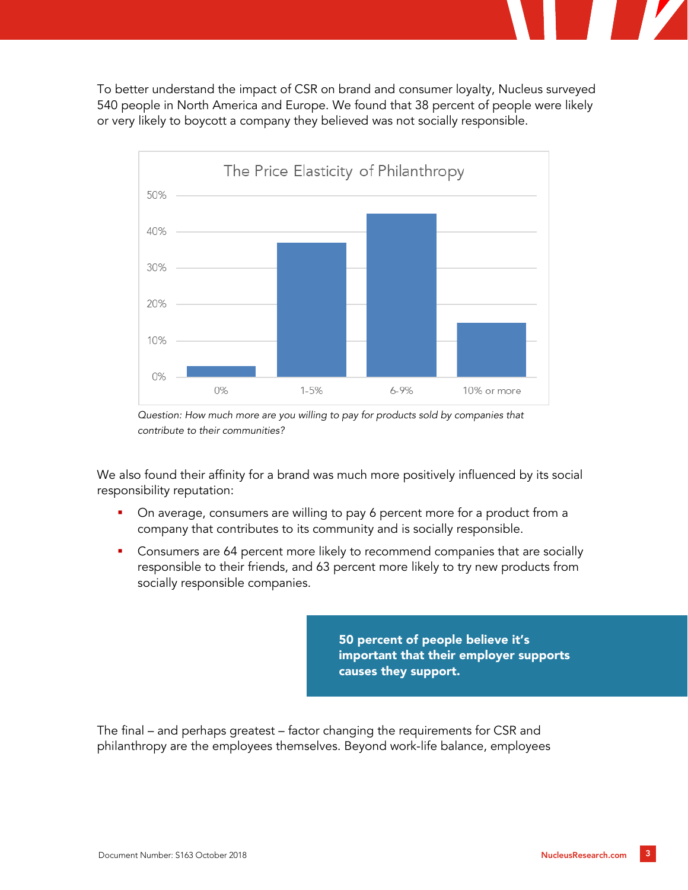To better understand the impact of CSR on brand and consumer loyalty, Nucleus surveyed 540 people in North America and Europe. We found that 38 percent of people were likely or very likely to boycott a company they believed was not socially responsible.





We also found their affinity for a brand was much more positively influenced by its social responsibility reputation:

- On average, consumers are willing to pay 6 percent more for a product from a company that contributes to its community and is socially responsible.
- **EXEDENT** Consumers are 64 percent more likely to recommend companies that are socially responsible to their friends, and 63 percent more likely to try new products from socially responsible companies.

50 percent of people believe it's important that their employer supports causes they support.

The final – and perhaps greatest – factor changing the requirements for CSR and philanthropy are the employees themselves. Beyond work-life balance, employees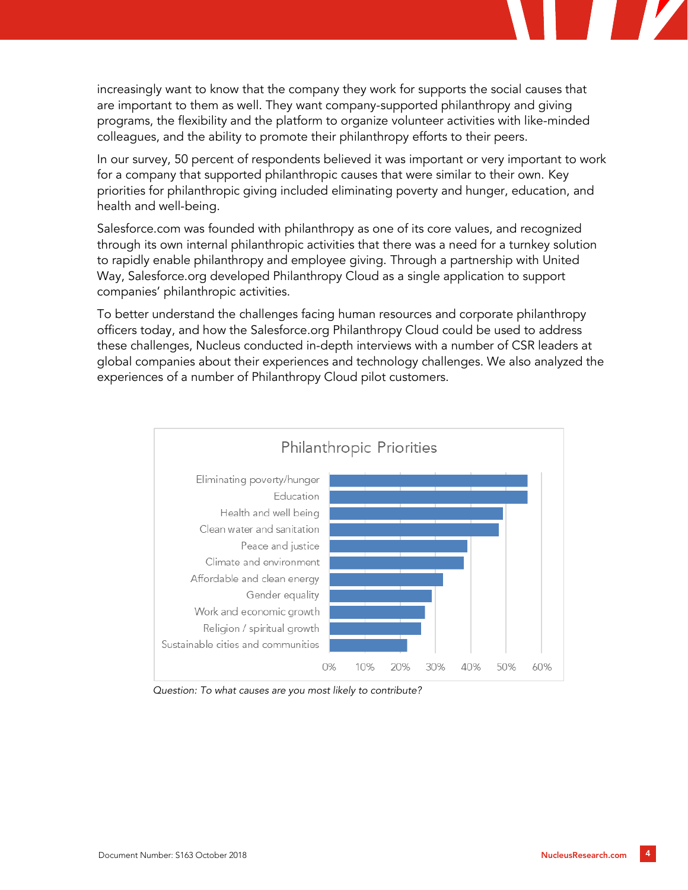increasingly want to know that the company they work for supports the social causes that are important to them as well. They want company-supported philanthropy and giving programs, the flexibility and the platform to organize volunteer activities with like-minded colleagues, and the ability to promote their philanthropy efforts to their peers.

In our survey, 50 percent of respondents believed it was important or very important to work for a company that supported philanthropic causes that were similar to their own. Key priorities for philanthropic giving included eliminating poverty and hunger, education, and health and well-being.

Salesforce.com was founded with philanthropy as one of its core values, and recognized through its own internal philanthropic activities that there was a need for a turnkey solution to rapidly enable philanthropy and employee giving. Through a partnership with United Way, Salesforce.org developed Philanthropy Cloud as a single application to support companies' philanthropic activities.

To better understand the challenges facing human resources and corporate philanthropy officers today, and how the Salesforce.org Philanthropy Cloud could be used to address these challenges, Nucleus conducted in-depth interviews with a number of CSR leaders at global companies about their experiences and technology challenges. We also analyzed the experiences of a number of Philanthropy Cloud pilot customers.



*Question: To what causes are you most likely to contribute?*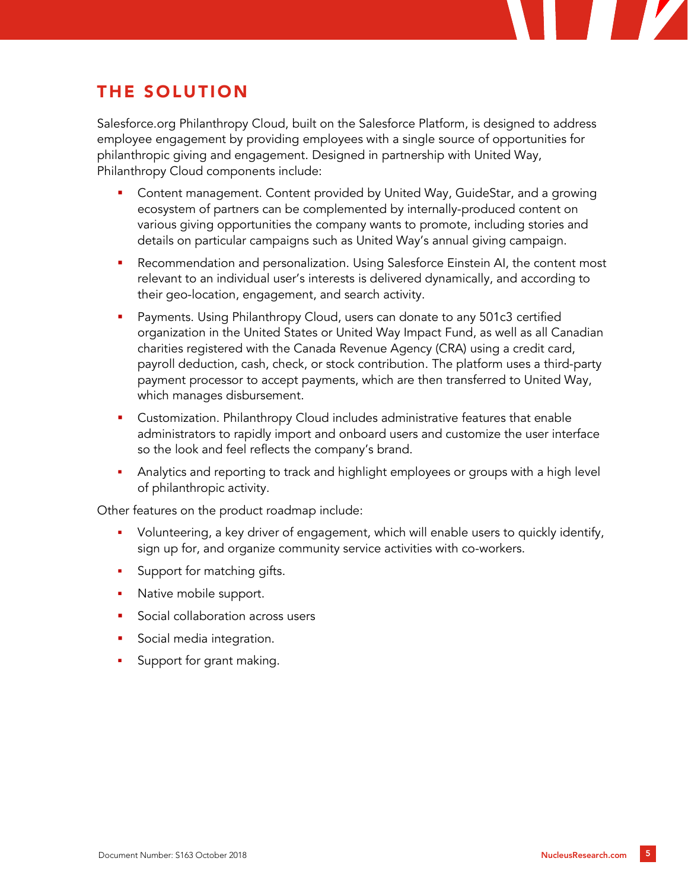# THE SOLUTION

Salesforce.org Philanthropy Cloud, built on the Salesforce Platform, is designed to address employee engagement by providing employees with a single source of opportunities for philanthropic giving and engagement. Designed in partnership with United Way, Philanthropy Cloud components include:

- Content management. Content provided by United Way, GuideStar, and a growing ecosystem of partners can be complemented by internally-produced content on various giving opportunities the company wants to promote, including stories and details on particular campaigns such as United Way's annual giving campaign.
- Recommendation and personalization. Using Salesforce Einstein AI, the content most relevant to an individual user's interests is delivered dynamically, and according to their geo-location, engagement, and search activity.
- Payments. Using Philanthropy Cloud, users can donate to any 501c3 certified organization in the United States or United Way Impact Fund, as well as all Canadian charities registered with the Canada Revenue Agency (CRA) using a credit card, payroll deduction, cash, check, or stock contribution. The platform uses a third-party payment processor to accept payments, which are then transferred to United Way, which manages disbursement.
- **•** Customization. Philanthropy Cloud includes administrative features that enable administrators to rapidly import and onboard users and customize the user interface so the look and feel reflects the company's brand.
- Analytics and reporting to track and highlight employees or groups with a high level of philanthropic activity.

Other features on the product roadmap include:

- Volunteering, a key driver of engagement, which will enable users to quickly identify, sign up for, and organize community service activities with co-workers.
- **•** Support for matching gifts.
- Native mobile support.
- **Social collaboration across users**
- Social media integration.
- Support for grant making.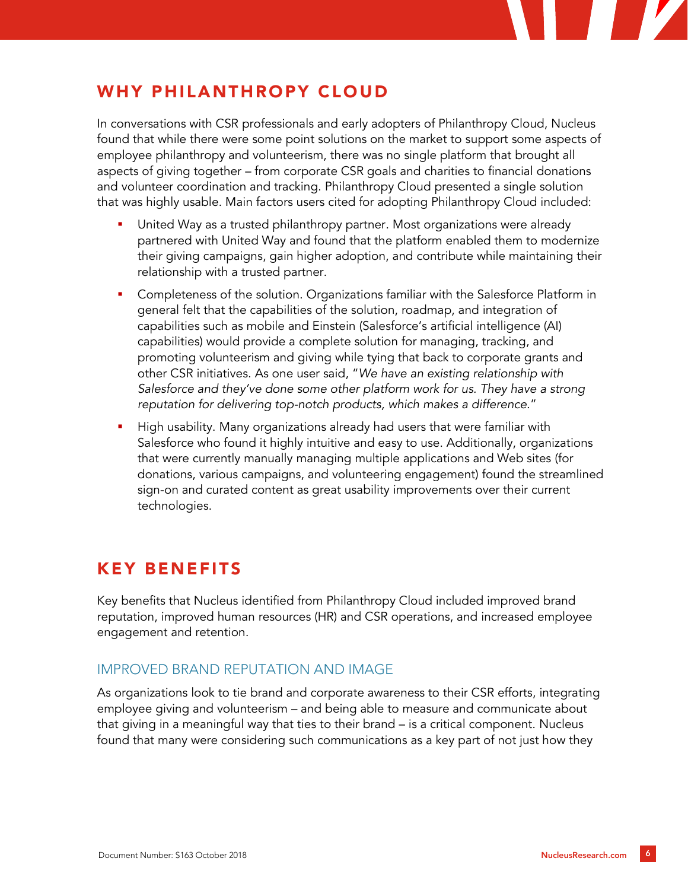# WHY PHILANTHROPY CLOUD

In conversations with CSR professionals and early adopters of Philanthropy Cloud, Nucleus found that while there were some point solutions on the market to support some aspects of employee philanthropy and volunteerism, there was no single platform that brought all aspects of giving together – from corporate CSR goals and charities to financial donations and volunteer coordination and tracking. Philanthropy Cloud presented a single solution that was highly usable. Main factors users cited for adopting Philanthropy Cloud included:

- United Way as a trusted philanthropy partner. Most organizations were already partnered with United Way and found that the platform enabled them to modernize their giving campaigns, gain higher adoption, and contribute while maintaining their relationship with a trusted partner.
- Completeness of the solution. Organizations familiar with the Salesforce Platform in general felt that the capabilities of the solution, roadmap, and integration of capabilities such as mobile and Einstein (Salesforce's artificial intelligence (AI) capabilities) would provide a complete solution for managing, tracking, and promoting volunteerism and giving while tying that back to corporate grants and other CSR initiatives. As one user said, "*We have an existing relationship with Salesforce and they've done some other platform work for us. They have a strong reputation for delivering top-notch products, which makes a difference*."
- High usability. Many organizations already had users that were familiar with Salesforce who found it highly intuitive and easy to use. Additionally, organizations that were currently manually managing multiple applications and Web sites (for donations, various campaigns, and volunteering engagement) found the streamlined sign-on and curated content as great usability improvements over their current technologies.

# KEY BENEFITS

Key benefits that Nucleus identified from Philanthropy Cloud included improved brand reputation, improved human resources (HR) and CSR operations, and increased employee engagement and retention.

#### IMPROVED BRAND REPUTATION AND IMAGE

As organizations look to tie brand and corporate awareness to their CSR efforts, integrating employee giving and volunteerism – and being able to measure and communicate about that giving in a meaningful way that ties to their brand – is a critical component. Nucleus found that many were considering such communications as a key part of not just how they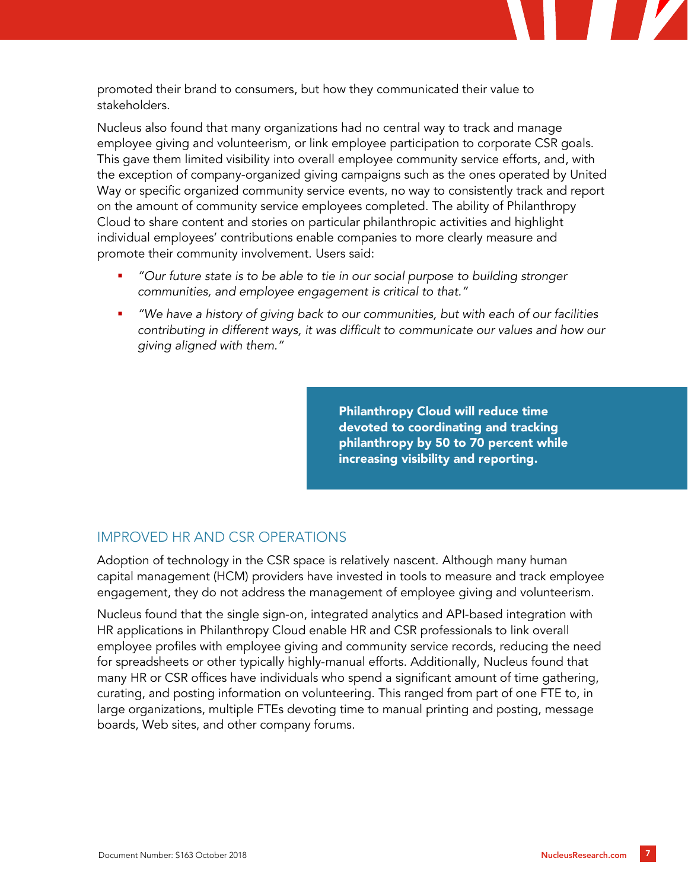promoted their brand to consumers, but how they communicated their value to stakeholders.

Nucleus also found that many organizations had no central way to track and manage employee giving and volunteerism, or link employee participation to corporate CSR goals. This gave them limited visibility into overall employee community service efforts, and, with the exception of company-organized giving campaigns such as the ones operated by United Way or specific organized community service events, no way to consistently track and report on the amount of community service employees completed. The ability of Philanthropy Cloud to share content and stories on particular philanthropic activities and highlight individual employees' contributions enable companies to more clearly measure and promote their community involvement. Users said:

- *"Our future state is to be able to tie in our social purpose to building stronger communities, and employee engagement is critical to that."*
- *"We have a history of giving back to our communities, but with each of our facilities contributing in different ways, it was difficult to communicate our values and how our giving aligned with them."*

Philanthropy Cloud will reduce time devoted to coordinating and tracking philanthropy by 50 to 70 percent while increasing visibility and reporting.

#### IMPROVED HR AND CSR OPERATIONS

Adoption of technology in the CSR space is relatively nascent. Although many human capital management (HCM) providers have invested in tools to measure and track employee engagement, they do not address the management of employee giving and volunteerism.

Nucleus found that the single sign-on, integrated analytics and API-based integration with HR applications in Philanthropy Cloud enable HR and CSR professionals to link overall employee profiles with employee giving and community service records, reducing the need for spreadsheets or other typically highly-manual efforts. Additionally, Nucleus found that many HR or CSR offices have individuals who spend a significant amount of time gathering, curating, and posting information on volunteering. This ranged from part of one FTE to, in large organizations, multiple FTEs devoting time to manual printing and posting, message boards, Web sites, and other company forums.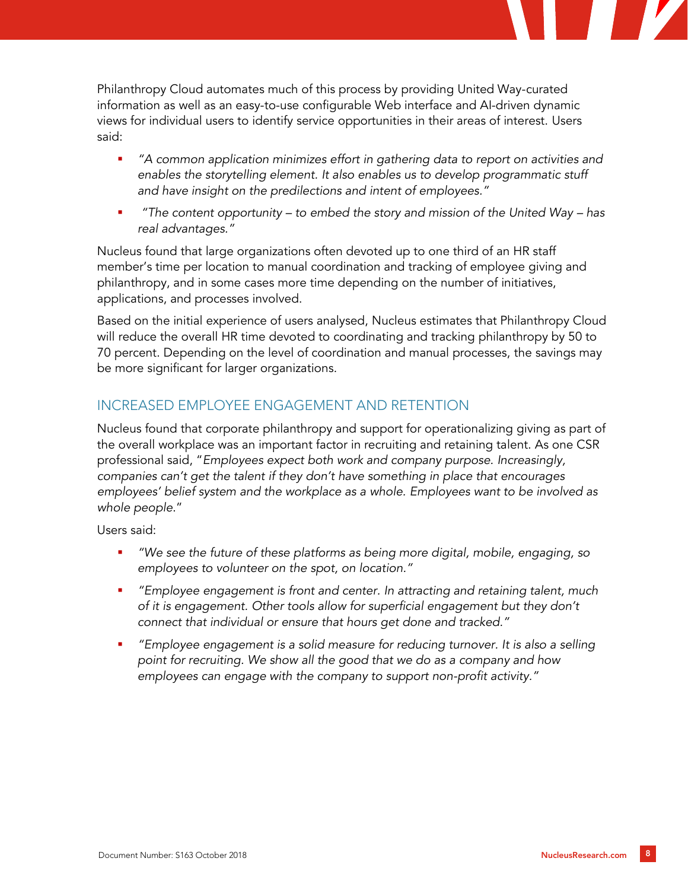

Philanthropy Cloud automates much of this process by providing United Way-curated information as well as an easy-to-use configurable Web interface and AI-driven dynamic views for individual users to identify service opportunities in their areas of interest. Users said:

- *"A common application minimizes effort in gathering data to report on activities and enables the storytelling element. It also enables us to develop programmatic stuff and have insight on the predilections and intent of employees."*
- *"The content opportunity – to embed the story and mission of the United Way – has real advantages."*

Nucleus found that large organizations often devoted up to one third of an HR staff member's time per location to manual coordination and tracking of employee giving and philanthropy, and in some cases more time depending on the number of initiatives, applications, and processes involved.

Based on the initial experience of users analysed, Nucleus estimates that Philanthropy Cloud will reduce the overall HR time devoted to coordinating and tracking philanthropy by 50 to 70 percent. Depending on the level of coordination and manual processes, the savings may be more significant for larger organizations.

### INCREASED EMPLOYEE ENGAGEMENT AND RETENTION

Nucleus found that corporate philanthropy and support for operationalizing giving as part of the overall workplace was an important factor in recruiting and retaining talent. As one CSR professional said, "*Employees expect both work and company purpose. Increasingly, companies can't get the talent if they don't have something in place that encourages employees' belief system and the workplace as a whole. Employees want to be involved as whole people*."

Users said:

- *"We see the future of these platforms as being more digital, mobile, engaging, so employees to volunteer on the spot, on location."*
- *"Employee engagement is front and center. In attracting and retaining talent, much of it is engagement. Other tools allow for superficial engagement but they don't connect that individual or ensure that hours get done and tracked."*
- *"Employee engagement is a solid measure for reducing turnover. It is also a selling point for recruiting. We show all the good that we do as a company and how employees can engage with the company to support non-profit activity."*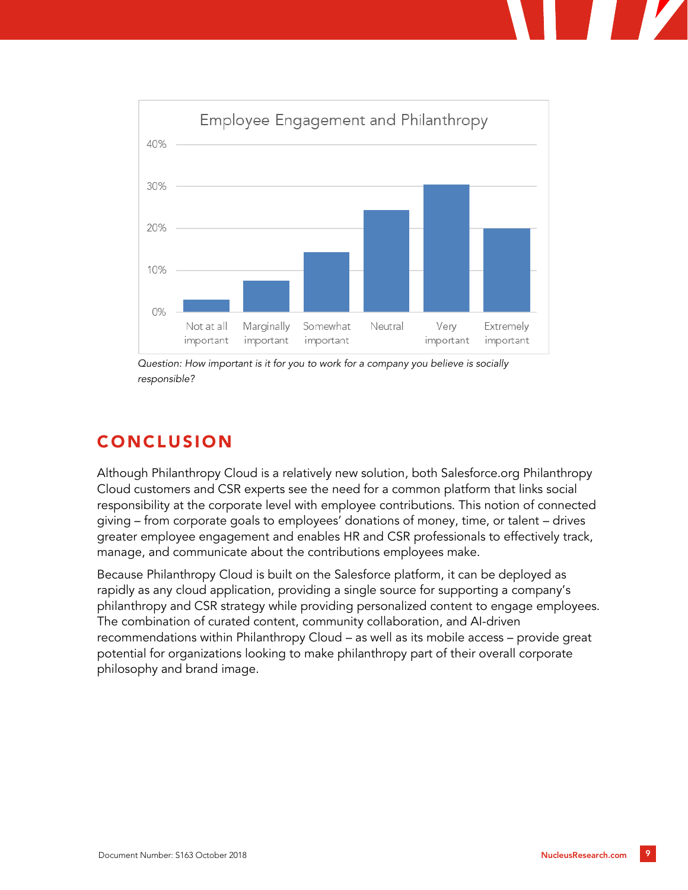

*Question: How important is it for you to work for a company you believe is socially responsible?*

# CONCLUSION

Although Philanthropy Cloud is a relatively new solution, both Salesforce.org Philanthropy Cloud customers and CSR experts see the need for a common platform that links social responsibility at the corporate level with employee contributions. This notion of connected giving – from corporate goals to employees' donations of money, time, or talent – drives greater employee engagement and enables HR and CSR professionals to effectively track, manage, and communicate about the contributions employees make.

Because Philanthropy Cloud is built on the Salesforce platform, it can be deployed as rapidly as any cloud application, providing a single source for supporting a company's philanthropy and CSR strategy while providing personalized content to engage employees. The combination of curated content, community collaboration, and AI-driven recommendations within Philanthropy Cloud – as well as its mobile access – provide great potential for organizations looking to make philanthropy part of their overall corporate philosophy and brand image.